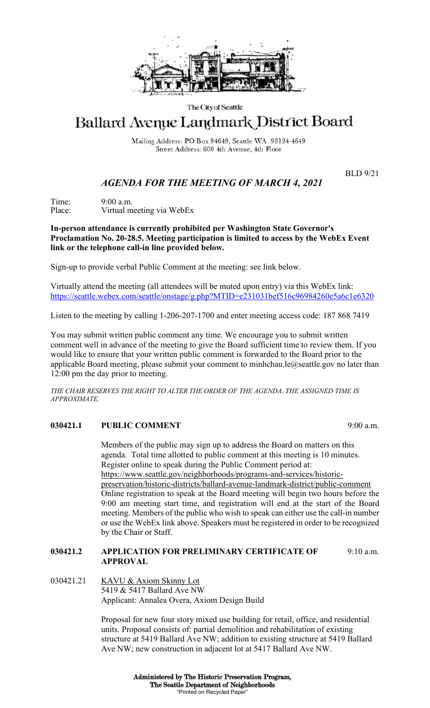

#### The City of Seattle

# Ballard Avenue Landmark District Board

Mailing Address: PO Box 94649, Seattle WA 98124-4649 Street Address: 600 4th Avenue, 4th Floor

BLD 9/21

## *AGENDA FOR THE MEETING OF MARCH 4, 2021*

Time: 9:00 a.m.<br>Place: Virtual m Virtual meeting via WebEx

### **In-person attendance is currently prohibited per Washington State Governor's Proclamation No. 20-28.5. Meeting participation is limited to access by the WebEx Event link or the telephone call-in line provided below.**

Sign-up to provide verbal Public Comment at the meeting: see link below.

Virtually attend the meeting (all attendees will be muted upon entry) via this WebEx link: <https://seattle.webex.com/seattle/onstage/g.php?MTID=e231031bef516c96984260e5a6c1e6320>

Listen to the meeting by calling 1-206-207-1700 and enter meeting access code: 187 868 7419

You may submit written public comment any time. We encourage you to submit written comment well in advance of the meeting to give the Board sufficient time to review them. If you would like to ensure that your written public comment is forwarded to the Board prior to the applicable Board meeting, please submit your comment to minhchau.le@seattle.gov no later than 12:00 pm the day prior to meeting.

*THE CHAIR RESERVES THE RIGHT TO ALTER THE ORDER OF THE AGENDA. THE ASSIGNED TIME IS APPROXIMATE.*

### **030421.1 PUBLIC COMMENT** 9:00 a.m.

Members of the public may sign up to address the Board on matters on this agenda. Total time allotted to public comment at this meeting is 10 minutes. Register online to speak during the Public Comment period at: https://www.seattle.gov/neighborhoods/programs-and-services/historicpreservation/historic-districts/ballard-avenue-landmark-district/public-comment Online registration to speak at the Board meeting will begin two hours before the 9:00 am meeting start time, and registration will end at the start of the Board meeting. Members of the public who wish to speak can either use the call-in number or use the WebEx link above. Speakers must be registered in order to be recognized by the Chair or Staff.

### **030421.2 APPLICATION FOR PRELIMINARY CERTIFICATE OF** 9:10 a.m. **APPROVAL**

030421.21 KAVU & Axiom Skinny Lot 5419 & 5417 Ballard Ave NW Applicant: Annalea Overa, Axiom Design Build

> Proposal for new four story mixed use building for retail, office, and residential units. Proposal consists of: partial demolition and rehabilitation of existing structure at 5419 Ballard Ave NW; addition to existing structure at 5419 Ballard Ave NW; new construction in adjacent lot at 5417 Ballard Ave NW.